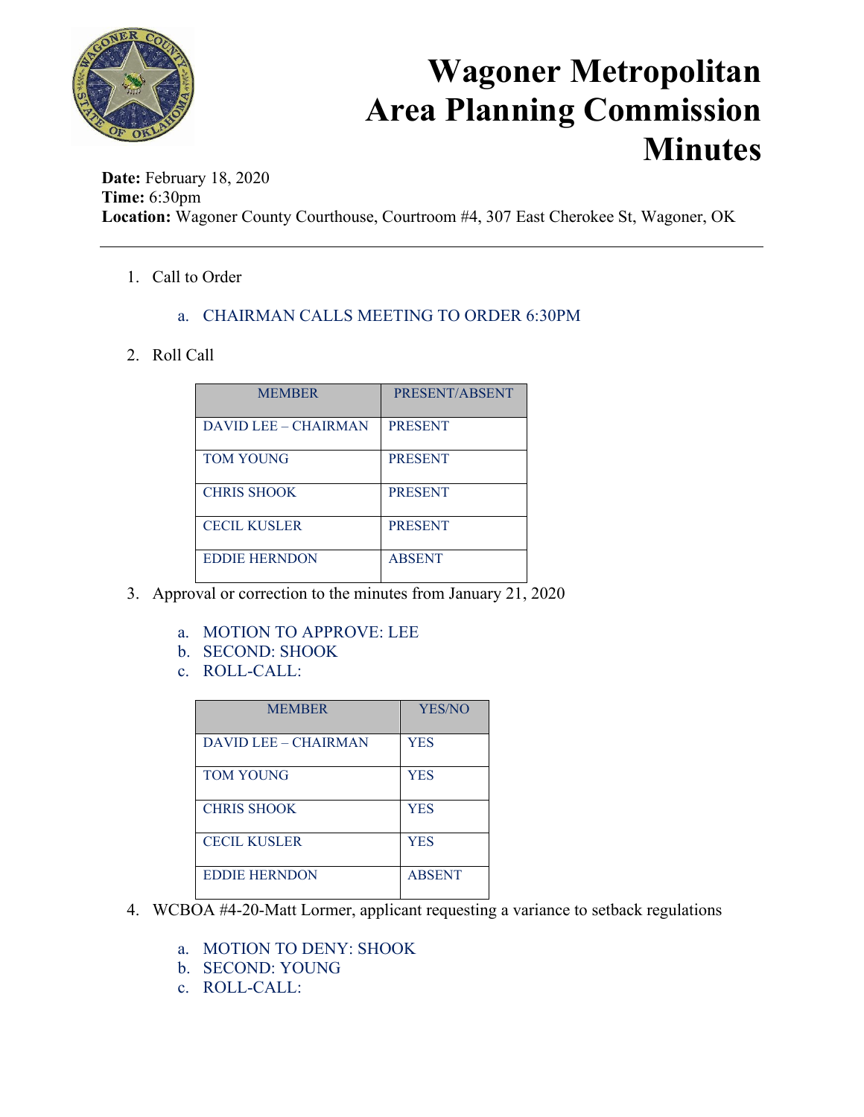

### **Wagoner Metropolitan Area Planning Commission Minutes**

**Date:** February 18, 2020 **Time:** 6:30pm **Location:** Wagoner County Courthouse, Courtroom #4, 307 East Cherokee St, Wagoner, OK

1. Call to Order

### a. CHAIRMAN CALLS MEETING TO ORDER 6:30PM

#### 2. Roll Call

| <b>MEMBER</b>        | PRESENT/ABSENT |
|----------------------|----------------|
| DAVID LEE - CHAIRMAN | <b>PRESENT</b> |
| <b>TOM YOUNG</b>     | <b>PRESENT</b> |
| <b>CHRIS SHOOK</b>   | <b>PRESENT</b> |
| <b>CECIL KUSLER</b>  | <b>PRESENT</b> |
| <b>EDDIE HERNDON</b> | <b>ABSENT</b>  |

- 3. Approval or correction to the minutes from January 21, 2020
	- a. MOTION TO APPROVE: LEE
	- b. SECOND: SHOOK
	- c. ROLL-CALL:

| <b>MEMBER</b>               | <b>YES/NO</b> |
|-----------------------------|---------------|
| <b>DAVID LEE - CHAIRMAN</b> | <b>YES</b>    |
| <b>TOM YOUNG</b>            | <b>YES</b>    |
| <b>CHRIS SHOOK</b>          | <b>YES</b>    |
| <b>CECIL KUSLER</b>         | <b>YES</b>    |
| <b>EDDIE HERNDON</b>        | <b>ABSENT</b> |

- 4. WCBOA #4-20-Matt Lormer, applicant requesting a variance to setback regulations
	- a. MOTION TO DENY: SHOOK
	- b. SECOND: YOUNG
	- c. ROLL-CALL: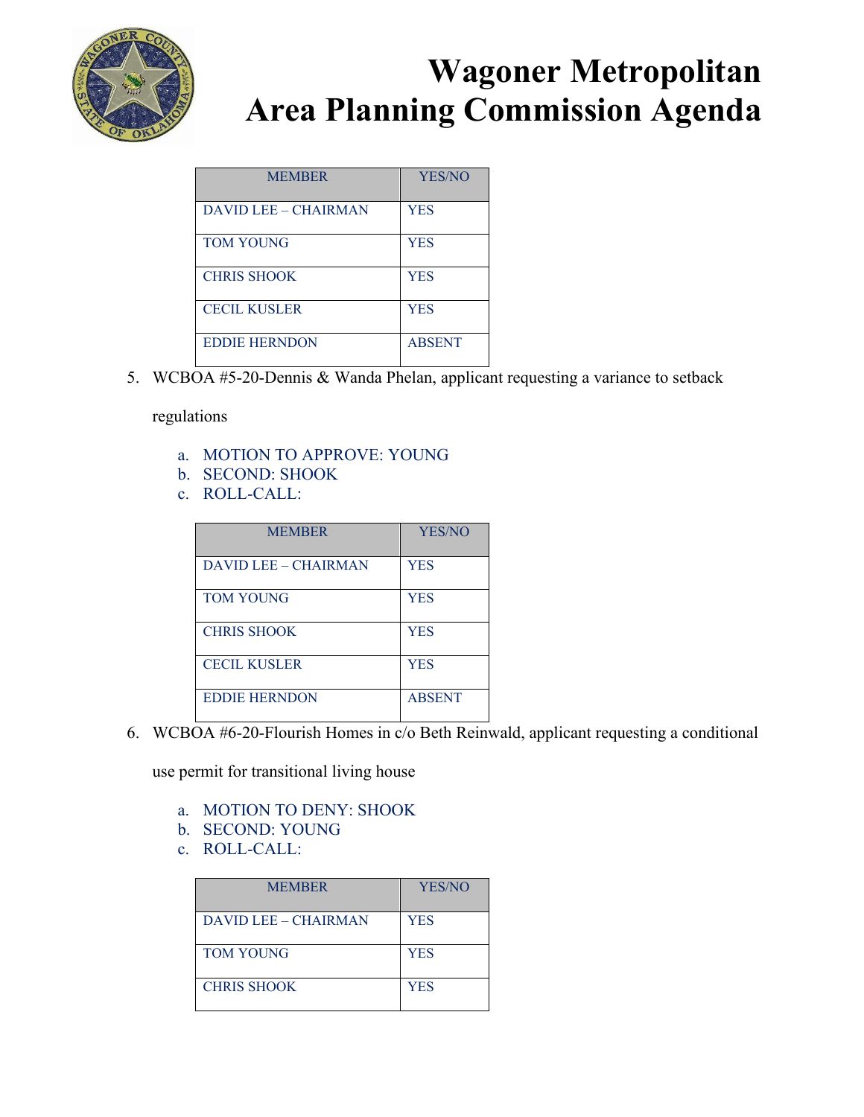

# **Wagoner Metropolitan Area Planning Commission Agenda**

| <b>MEMBER</b>        | <b>YES/NO</b> |
|----------------------|---------------|
| DAVID LEE – CHAIRMAN | <b>YES</b>    |
| <b>TOM YOUNG</b>     | <b>YES</b>    |
| <b>CHRIS SHOOK</b>   | <b>YES</b>    |
| <b>CECIL KUSLER</b>  | <b>YES</b>    |
| <b>EDDIE HERNDON</b> | <b>ABSENT</b> |

5. WCBOA #5-20-Dennis & Wanda Phelan, applicant requesting a variance to setback

regulations

- a. MOTION TO APPROVE: YOUNG
- b. SECOND: SHOOK
- c. ROLL-CALL:

| <b>MEMBER</b>        | <b>YES/NO</b> |
|----------------------|---------------|
| DAVID LEE - CHAIRMAN | <b>YES</b>    |
| <b>TOM YOUNG</b>     | <b>YES</b>    |
| <b>CHRIS SHOOK</b>   | <b>YES</b>    |
| <b>CECIL KUSLER</b>  | <b>YES</b>    |
| <b>EDDIE HERNDON</b> | <b>ABSENT</b> |

6. WCBOA #6-20-Flourish Homes in c/o Beth Reinwald, applicant requesting a conditional

use permit for transitional living house

- a. MOTION TO DENY: SHOOK
- b. SECOND: YOUNG
- c. ROLL-CALL:

| <b>MEMBER</b>        | YES/NO     |
|----------------------|------------|
| DAVID LEE - CHAIRMAN | <b>YES</b> |
| <b>TOM YOUNG</b>     | <b>YES</b> |
| <b>CHRIS SHOOK</b>   | <b>YES</b> |